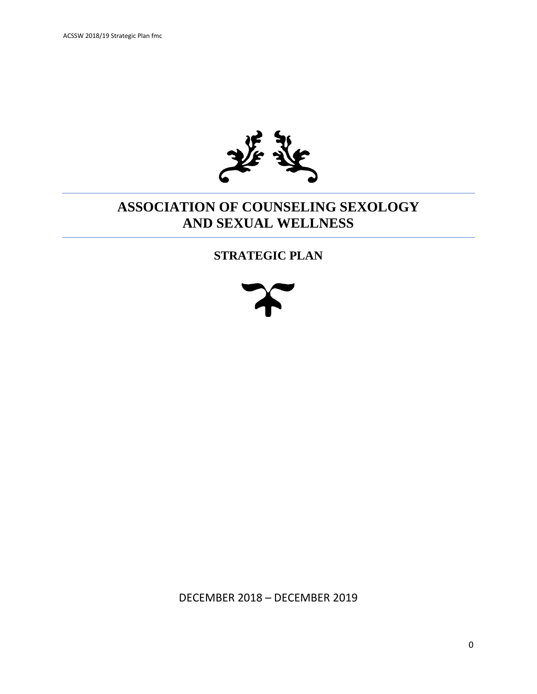

## **ASSOCIATION OF COUNSELING SEXOLOGY AND SEXUAL WELLNESS**

### **STRATEGIC PLAN**



DECEMBER 2018 – DECEMBER 2019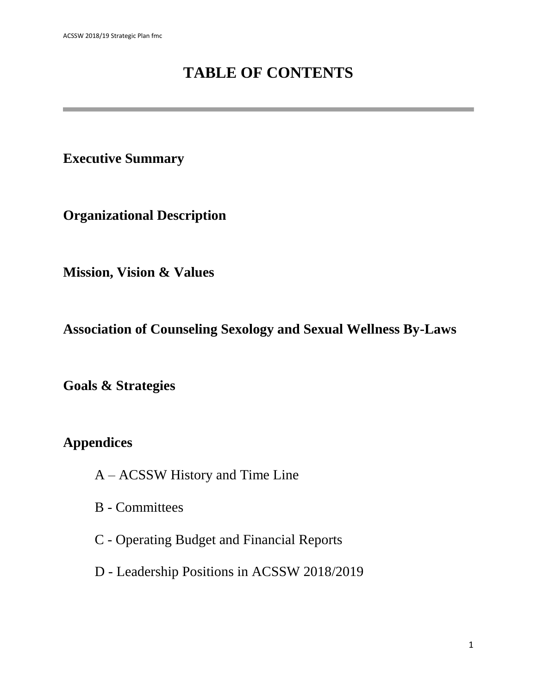# **TABLE OF CONTENTS**

**Executive Summary**

**Organizational Description**

**Mission, Vision & Values**

**Association of Counseling Sexology and Sexual Wellness By-Laws**

**Goals & Strategies**

**Appendices**

- A ACSSW History and Time Line
- B Committees
- C Operating Budget and Financial Reports
- D Leadership Positions in ACSSW 2018/2019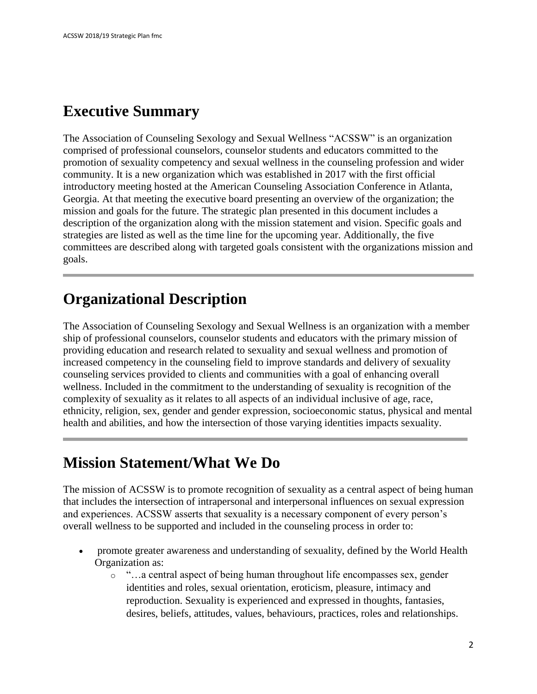# **Executive Summary**

The Association of Counseling Sexology and Sexual Wellness "ACSSW" is an organization comprised of professional counselors, counselor students and educators committed to the promotion of sexuality competency and sexual wellness in the counseling profession and wider community. It is a new organization which was established in 2017 with the first official introductory meeting hosted at the American Counseling Association Conference in Atlanta, Georgia. At that meeting the executive board presenting an overview of the organization; the mission and goals for the future. The strategic plan presented in this document includes a description of the organization along with the mission statement and vision. Specific goals and strategies are listed as well as the time line for the upcoming year. Additionally, the five committees are described along with targeted goals consistent with the organizations mission and goals.

## **Organizational Description**

The Association of Counseling Sexology and Sexual Wellness is an organization with a member ship of professional counselors, counselor students and educators with the primary mission of providing education and research related to sexuality and sexual wellness and promotion of increased competency in the counseling field to improve standards and delivery of sexuality counseling services provided to clients and communities with a goal of enhancing overall wellness. Included in the commitment to the understanding of sexuality is recognition of the complexity of sexuality as it relates to all aspects of an individual inclusive of age, race, ethnicity, religion, sex, gender and gender expression, socioeconomic status, physical and mental health and abilities, and how the intersection of those varying identities impacts sexuality.

# **Mission Statement/What We Do**

The mission of ACSSW is to promote recognition of sexuality as a central aspect of being human that includes the intersection of intrapersonal and interpersonal influences on sexual expression and experiences. ACSSW asserts that sexuality is a necessary component of every person's overall wellness to be supported and included in the counseling process in order to:

- promote greater awareness and understanding of sexuality, defined by the World Health Organization as:
	- $\circ$  "... a central aspect of being human throughout life encompasses sex, gender identities and roles, sexual orientation, eroticism, pleasure, intimacy and reproduction. Sexuality is experienced and expressed in thoughts, fantasies, desires, beliefs, attitudes, values, behaviours, practices, roles and relationships.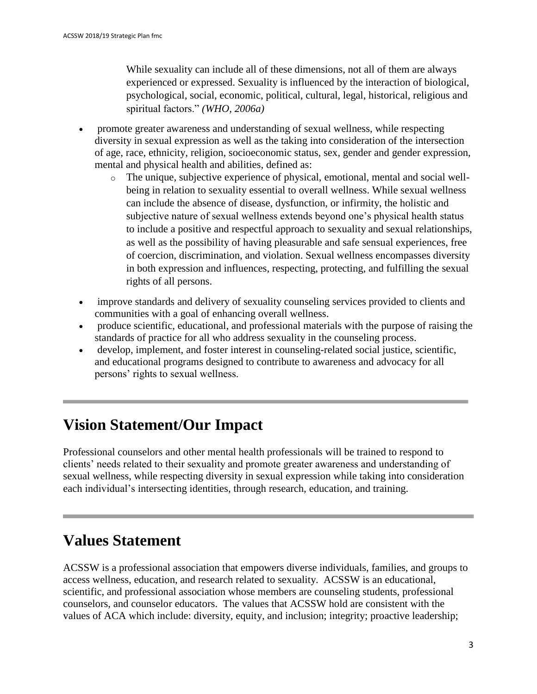While sexuality can include all of these dimensions, not all of them are always experienced or expressed. Sexuality is influenced by the interaction of biological, psychological, social, economic, political, cultural, legal, historical, religious and spiritual factors." *(WHO, 2006a)*

- promote greater awareness and understanding of sexual wellness, while respecting diversity in sexual expression as well as the taking into consideration of the intersection of age, race, ethnicity, religion, socioeconomic status, sex, gender and gender expression, mental and physical health and abilities, defined as:
	- o The unique, subjective experience of physical, emotional, mental and social wellbeing in relation to sexuality essential to overall wellness. While sexual wellness can include the absence of disease, dysfunction, or infirmity, the holistic and subjective nature of sexual wellness extends beyond one's physical health status to include a positive and respectful approach to sexuality and sexual relationships, as well as the possibility of having pleasurable and safe sensual experiences, free of coercion, discrimination, and violation. Sexual wellness encompasses diversity in both expression and influences, respecting, protecting, and fulfilling the sexual rights of all persons.
- improve standards and delivery of sexuality counseling services provided to clients and communities with a goal of enhancing overall wellness.
- produce scientific, educational, and professional materials with the purpose of raising the standards of practice for all who address sexuality in the counseling process.
- develop, implement, and foster interest in counseling-related social justice, scientific, and educational programs designed to contribute to awareness and advocacy for all persons' rights to sexual wellness.

# **Vision Statement/Our Impact**

Professional counselors and other mental health professionals will be trained to respond to clients' needs related to their sexuality and promote greater awareness and understanding of sexual wellness, while respecting diversity in sexual expression while taking into consideration each individual's intersecting identities, through research, education, and training.

# **Values Statement**

ACSSW is a professional association that empowers diverse individuals, families, and groups to access wellness, education, and research related to sexuality. ACSSW is an educational, scientific, and professional association whose members are counseling students, professional counselors, and counselor educators. The values that ACSSW hold are consistent with the values of ACA which include: diversity, equity, and inclusion; integrity; proactive leadership;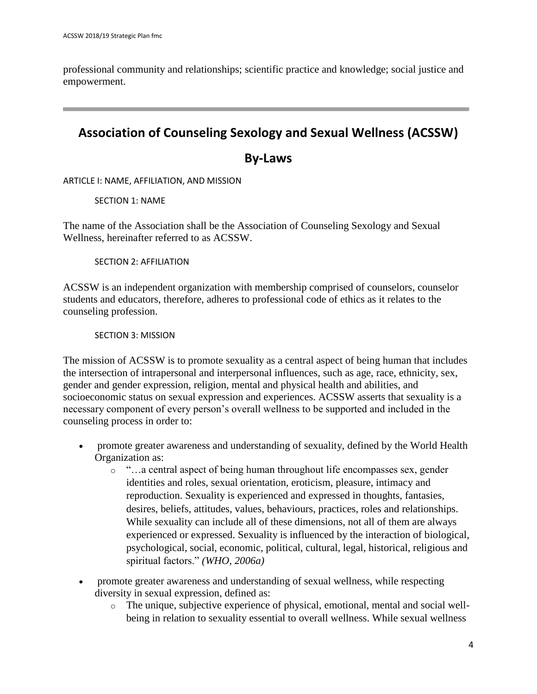professional community and relationships; scientific practice and knowledge; social justice and empowerment.

## **Association of Counseling Sexology and Sexual Wellness (ACSSW)**

## **By-Laws**

ARTICLE I: NAME, AFFILIATION, AND MISSION

SECTION 1: NAME

The name of the Association shall be the Association of Counseling Sexology and Sexual Wellness, hereinafter referred to as ACSSW.

SECTION 2: AFFILIATION

ACSSW is an independent organization with membership comprised of counselors, counselor students and educators, therefore, adheres to professional code of ethics as it relates to the counseling profession.

SECTION 3: MISSION

The mission of ACSSW is to promote sexuality as a central aspect of being human that includes the intersection of intrapersonal and interpersonal influences, such as age, race, ethnicity, sex, gender and gender expression, religion, mental and physical health and abilities, and socioeconomic status on sexual expression and experiences. ACSSW asserts that sexuality is a necessary component of every person's overall wellness to be supported and included in the counseling process in order to:

- promote greater awareness and understanding of sexuality, defined by the World Health Organization as:
	- o "…a central aspect of being human throughout life encompasses sex, gender identities and roles, sexual orientation, eroticism, pleasure, intimacy and reproduction. Sexuality is experienced and expressed in thoughts, fantasies, desires, beliefs, attitudes, values, behaviours, practices, roles and relationships. While sexuality can include all of these dimensions, not all of them are always experienced or expressed. Sexuality is influenced by the interaction of biological, psychological, social, economic, political, cultural, legal, historical, religious and spiritual factors." *(WHO, 2006a)*
- promote greater awareness and understanding of sexual wellness, while respecting diversity in sexual expression, defined as:
	- o The unique, subjective experience of physical, emotional, mental and social wellbeing in relation to sexuality essential to overall wellness. While sexual wellness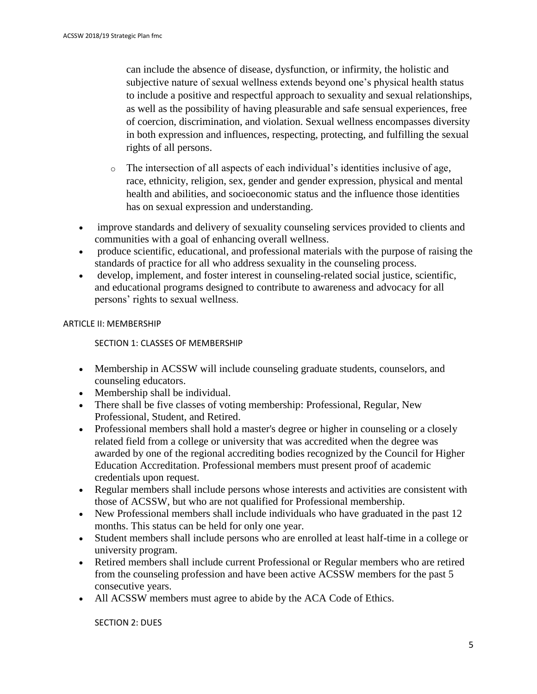can include the absence of disease, dysfunction, or infirmity, the holistic and subjective nature of sexual wellness extends beyond one's physical health status to include a positive and respectful approach to sexuality and sexual relationships, as well as the possibility of having pleasurable and safe sensual experiences, free of coercion, discrimination, and violation. Sexual wellness encompasses diversity in both expression and influences, respecting, protecting, and fulfilling the sexual rights of all persons.

- o The intersection of all aspects of each individual's identities inclusive of age, race, ethnicity, religion, sex, gender and gender expression, physical and mental health and abilities, and socioeconomic status and the influence those identities has on sexual expression and understanding.
- improve standards and delivery of sexuality counseling services provided to clients and communities with a goal of enhancing overall wellness.
- produce scientific, educational, and professional materials with the purpose of raising the standards of practice for all who address sexuality in the counseling process.
- develop, implement, and foster interest in counseling-related social justice, scientific, and educational programs designed to contribute to awareness and advocacy for all persons' rights to sexual wellness.

#### ARTICLE II: MEMBERSHIP

#### SECTION 1: CLASSES OF MEMBERSHIP

- Membership in ACSSW will include counseling graduate students, counselors, and counseling educators.
- Membership shall be individual.
- There shall be five classes of voting membership: Professional, Regular, New Professional, Student, and Retired.
- Professional members shall hold a master's degree or higher in counseling or a closely related field from a college or university that was accredited when the degree was awarded by one of the regional accrediting bodies recognized by the Council for Higher Education Accreditation. Professional members must present proof of academic credentials upon request.
- Regular members shall include persons whose interests and activities are consistent with those of ACSSW, but who are not qualified for Professional membership.
- New Professional members shall include individuals who have graduated in the past 12 months. This status can be held for only one year.
- Student members shall include persons who are enrolled at least half-time in a college or university program.
- Retired members shall include current Professional or Regular members who are retired from the counseling profession and have been active ACSSW members for the past 5 consecutive years.
- All ACSSW members must agree to abide by the ACA Code of Ethics.

SECTION 2: DUES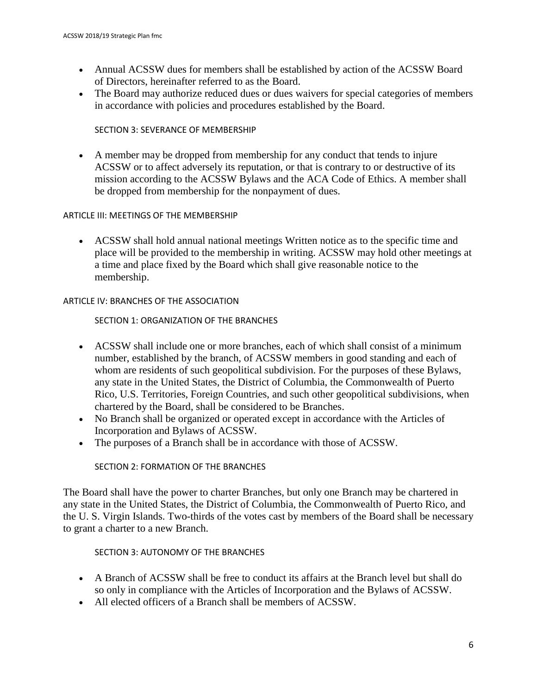- Annual ACSSW dues for members shall be established by action of the ACSSW Board of Directors, hereinafter referred to as the Board.
- The Board may authorize reduced dues or dues waivers for special categories of members in accordance with policies and procedures established by the Board.

#### SECTION 3: SEVERANCE OF MEMBERSHIP

• A member may be dropped from membership for any conduct that tends to injure ACSSW or to affect adversely its reputation, or that is contrary to or destructive of its mission according to the ACSSW Bylaws and the ACA Code of Ethics. A member shall be dropped from membership for the nonpayment of dues.

#### ARTICLE III: MEETINGS OF THE MEMBERSHIP

• ACSSW shall hold annual national meetings Written notice as to the specific time and place will be provided to the membership in writing. ACSSW may hold other meetings at a time and place fixed by the Board which shall give reasonable notice to the membership.

#### ARTICLE IV: BRANCHES OF THE ASSOCIATION

#### SECTION 1: ORGANIZATION OF THE BRANCHES

- ACSSW shall include one or more branches, each of which shall consist of a minimum number, established by the branch, of ACSSW members in good standing and each of whom are residents of such geopolitical subdivision. For the purposes of these Bylaws, any state in the United States, the District of Columbia, the Commonwealth of Puerto Rico, U.S. Territories, Foreign Countries, and such other geopolitical subdivisions, when chartered by the Board, shall be considered to be Branches.
- No Branch shall be organized or operated except in accordance with the Articles of Incorporation and Bylaws of ACSSW.
- The purposes of a Branch shall be in accordance with those of ACSSW.

#### SECTION 2: FORMATION OF THE BRANCHES

The Board shall have the power to charter Branches, but only one Branch may be chartered in any state in the United States, the District of Columbia, the Commonwealth of Puerto Rico, and the U. S. Virgin Islands. Two-thirds of the votes cast by members of the Board shall be necessary to grant a charter to a new Branch.

#### SECTION 3: AUTONOMY OF THE BRANCHES

- A Branch of ACSSW shall be free to conduct its affairs at the Branch level but shall do so only in compliance with the Articles of Incorporation and the Bylaws of ACSSW.
- All elected officers of a Branch shall be members of ACSSW.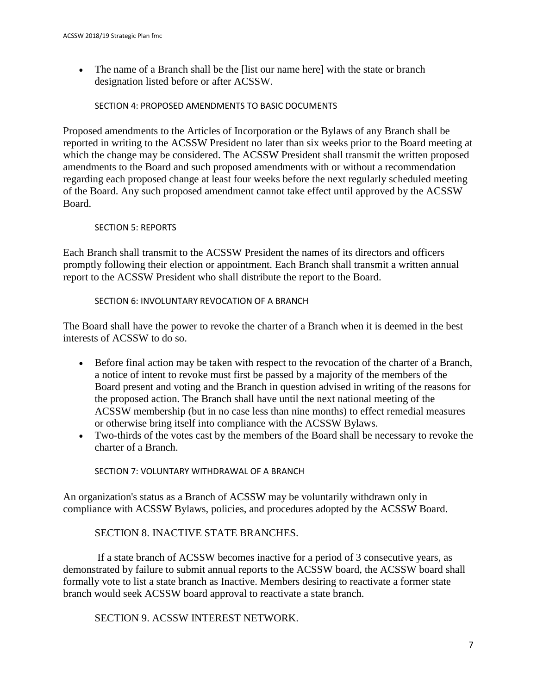• The name of a Branch shall be the [list our name here] with the state or branch designation listed before or after ACSSW.

#### SECTION 4: PROPOSED AMENDMENTS TO BASIC DOCUMENTS

Proposed amendments to the Articles of Incorporation or the Bylaws of any Branch shall be reported in writing to the ACSSW President no later than six weeks prior to the Board meeting at which the change may be considered. The ACSSW President shall transmit the written proposed amendments to the Board and such proposed amendments with or without a recommendation regarding each proposed change at least four weeks before the next regularly scheduled meeting of the Board. Any such proposed amendment cannot take effect until approved by the ACSSW Board.

#### SECTION 5: REPORTS

Each Branch shall transmit to the ACSSW President the names of its directors and officers promptly following their election or appointment. Each Branch shall transmit a written annual report to the ACSSW President who shall distribute the report to the Board.

#### SECTION 6: INVOLUNTARY REVOCATION OF A BRANCH

The Board shall have the power to revoke the charter of a Branch when it is deemed in the best interests of ACSSW to do so.

- Before final action may be taken with respect to the revocation of the charter of a Branch, a notice of intent to revoke must first be passed by a majority of the members of the Board present and voting and the Branch in question advised in writing of the reasons for the proposed action. The Branch shall have until the next national meeting of the ACSSW membership (but in no case less than nine months) to effect remedial measures or otherwise bring itself into compliance with the ACSSW Bylaws.
- Two-thirds of the votes cast by the members of the Board shall be necessary to revoke the charter of a Branch.

SECTION 7: VOLUNTARY WITHDRAWAL OF A BRANCH

An organization's status as a Branch of ACSSW may be voluntarily withdrawn only in compliance with ACSSW Bylaws, policies, and procedures adopted by the ACSSW Board.

#### SECTION 8. INACTIVE STATE BRANCHES.

If a state branch of ACSSW becomes inactive for a period of 3 consecutive years, as demonstrated by failure to submit annual reports to the ACSSW board, the ACSSW board shall formally vote to list a state branch as Inactive. Members desiring to reactivate a former state branch would seek ACSSW board approval to reactivate a state branch.

SECTION 9. ACSSW INTEREST NETWORK.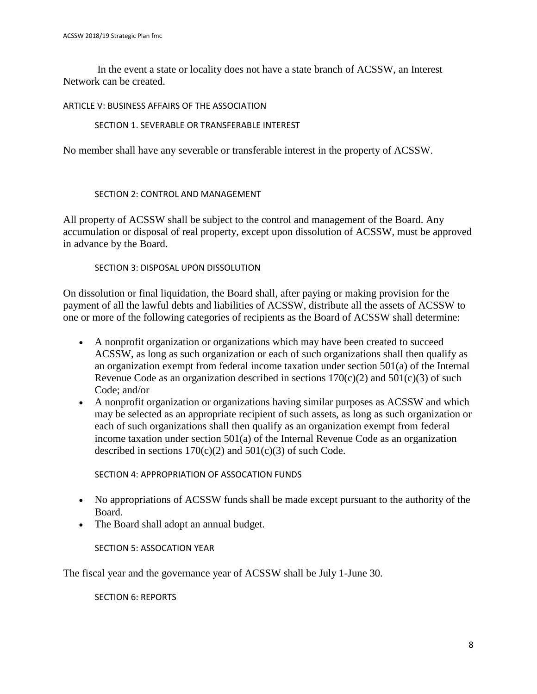In the event a state or locality does not have a state branch of ACSSW, an Interest Network can be created.

#### ARTICLE V: BUSINESS AFFAIRS OF THE ASSOCIATION

#### SECTION 1. SEVERABLE OR TRANSFERABLE INTEREST

No member shall have any severable or transferable interest in the property of ACSSW.

#### SECTION 2: CONTROL AND MANAGEMENT

All property of ACSSW shall be subject to the control and management of the Board. Any accumulation or disposal of real property, except upon dissolution of ACSSW, must be approved in advance by the Board.

#### SECTION 3: DISPOSAL UPON DISSOLUTION

On dissolution or final liquidation, the Board shall, after paying or making provision for the payment of all the lawful debts and liabilities of ACSSW, distribute all the assets of ACSSW to one or more of the following categories of recipients as the Board of ACSSW shall determine:

- A nonprofit organization or organizations which may have been created to succeed ACSSW, as long as such organization or each of such organizations shall then qualify as an organization exempt from federal income taxation under section 501(a) of the Internal Revenue Code as an organization described in sections  $170(c)(2)$  and  $501(c)(3)$  of such Code; and/or
- A nonprofit organization or organizations having similar purposes as ACSSW and which may be selected as an appropriate recipient of such assets, as long as such organization or each of such organizations shall then qualify as an organization exempt from federal income taxation under section 501(a) of the Internal Revenue Code as an organization described in sections  $170(c)(2)$  and  $501(c)(3)$  of such Code.

SECTION 4: APPROPRIATION OF ASSOCATION FUNDS

- No appropriations of ACSSW funds shall be made except pursuant to the authority of the Board.
- The Board shall adopt an annual budget.

SECTION 5: ASSOCATION YEAR

The fiscal year and the governance year of ACSSW shall be July 1-June 30.

SECTION 6: REPORTS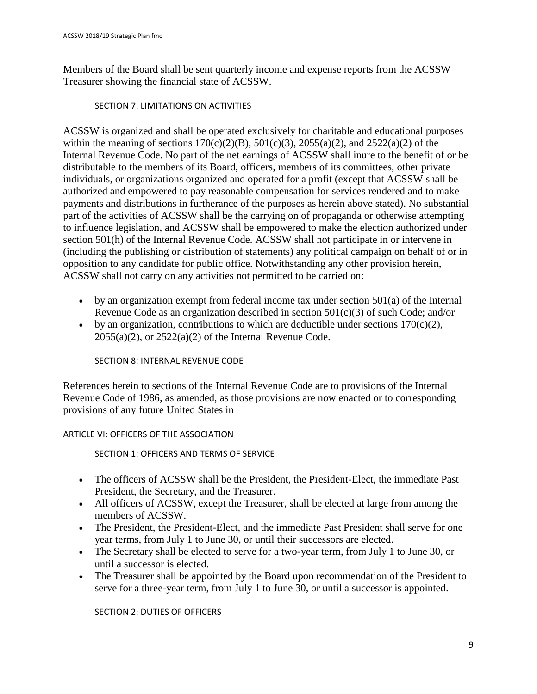Members of the Board shall be sent quarterly income and expense reports from the ACSSW Treasurer showing the financial state of ACSSW.

#### SECTION 7: LIMITATIONS ON ACTIVITIES

ACSSW is organized and shall be operated exclusively for charitable and educational purposes within the meaning of sections  $170(c)(2)(B)$ ,  $501(c)(3)$ ,  $2055(a)(2)$ , and  $2522(a)(2)$  of the Internal Revenue Code. No part of the net earnings of ACSSW shall inure to the benefit of or be distributable to the members of its Board, officers, members of its committees, other private individuals, or organizations organized and operated for a profit (except that ACSSW shall be authorized and empowered to pay reasonable compensation for services rendered and to make payments and distributions in furtherance of the purposes as herein above stated). No substantial part of the activities of ACSSW shall be the carrying on of propaganda or otherwise attempting to influence legislation, and ACSSW shall be empowered to make the election authorized under section 501(h) of the Internal Revenue Code. ACSSW shall not participate in or intervene in (including the publishing or distribution of statements) any political campaign on behalf of or in opposition to any candidate for public office. Notwithstanding any other provision herein, ACSSW shall not carry on any activities not permitted to be carried on:

- by an organization exempt from federal income tax under section 501(a) of the Internal Revenue Code as an organization described in section 501(c)(3) of such Code; and/or
- by an organization, contributions to which are deductible under sections  $170(c)(2)$ ,  $2055(a)(2)$ , or  $2522(a)(2)$  of the Internal Revenue Code.

#### SECTION 8: INTERNAL REVENUE CODE

References herein to sections of the Internal Revenue Code are to provisions of the Internal Revenue Code of 1986, as amended, as those provisions are now enacted or to corresponding provisions of any future United States in

#### ARTICLE VI: OFFICERS OF THE ASSOCIATION

SECTION 1: OFFICERS AND TERMS OF SERVICE

- The officers of ACSSW shall be the President, the President-Elect, the immediate Past President, the Secretary, and the Treasurer.
- All officers of ACSSW, except the Treasurer, shall be elected at large from among the members of ACSSW.
- The President, the President-Elect, and the immediate Past President shall serve for one year terms, from July 1 to June 30, or until their successors are elected.
- The Secretary shall be elected to serve for a two-year term, from July 1 to June 30, or until a successor is elected.
- The Treasurer shall be appointed by the Board upon recommendation of the President to serve for a three-year term, from July 1 to June 30, or until a successor is appointed.

SECTION 2: DUTIES OF OFFICERS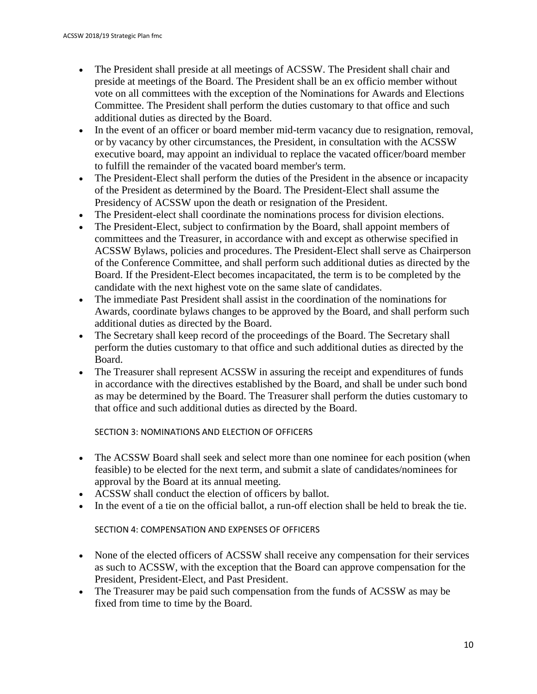- The President shall preside at all meetings of ACSSW. The President shall chair and preside at meetings of the Board. The President shall be an ex officio member without vote on all committees with the exception of the Nominations for Awards and Elections Committee. The President shall perform the duties customary to that office and such additional duties as directed by the Board.
- In the event of an officer or board member mid-term vacancy due to resignation, removal, or by vacancy by other circumstances, the President, in consultation with the ACSSW executive board, may appoint an individual to replace the vacated officer/board member to fulfill the remainder of the vacated board member's term.
- The President-Elect shall perform the duties of the President in the absence or incapacity of the President as determined by the Board. The President-Elect shall assume the Presidency of ACSSW upon the death or resignation of the President.
- The President-elect shall coordinate the nominations process for division elections.
- The President-Elect, subject to confirmation by the Board, shall appoint members of committees and the Treasurer, in accordance with and except as otherwise specified in ACSSW Bylaws, policies and procedures. The President-Elect shall serve as Chairperson of the Conference Committee, and shall perform such additional duties as directed by the Board. If the President-Elect becomes incapacitated, the term is to be completed by the candidate with the next highest vote on the same slate of candidates.
- The immediate Past President shall assist in the coordination of the nominations for Awards, coordinate bylaws changes to be approved by the Board, and shall perform such additional duties as directed by the Board.
- The Secretary shall keep record of the proceedings of the Board. The Secretary shall perform the duties customary to that office and such additional duties as directed by the Board.
- The Treasurer shall represent ACSSW in assuring the receipt and expenditures of funds in accordance with the directives established by the Board, and shall be under such bond as may be determined by the Board. The Treasurer shall perform the duties customary to that office and such additional duties as directed by the Board.

SECTION 3: NOMINATIONS AND ELECTION OF OFFICERS

- The ACSSW Board shall seek and select more than one nominee for each position (when feasible) to be elected for the next term, and submit a slate of candidates/nominees for approval by the Board at its annual meeting.
- ACSSW shall conduct the election of officers by ballot.
- In the event of a tie on the official ballot, a run-off election shall be held to break the tie.

SECTION 4: COMPENSATION AND EXPENSES OF OFFICERS

- None of the elected officers of ACSSW shall receive any compensation for their services as such to ACSSW, with the exception that the Board can approve compensation for the President, President-Elect, and Past President.
- The Treasurer may be paid such compensation from the funds of ACSSW as may be fixed from time to time by the Board.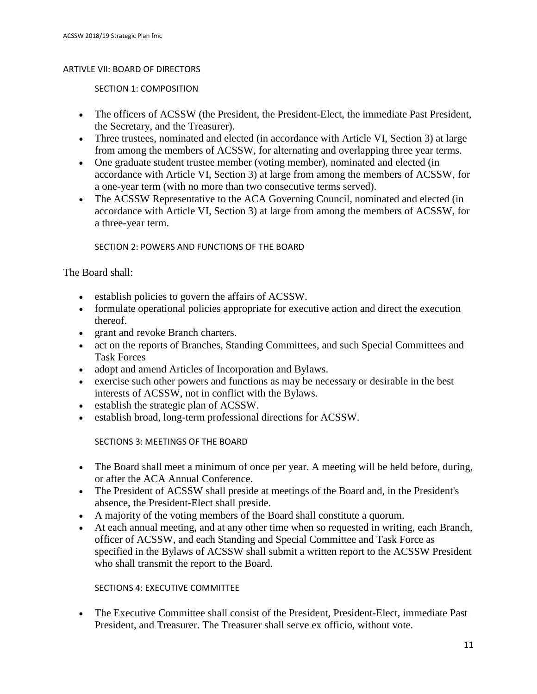#### ARTIVLE VII: BOARD OF DIRECTORS

SECTION 1: COMPOSITION

- The officers of ACSSW (the President, the President-Elect, the immediate Past President, the Secretary, and the Treasurer).
- Three trustees, nominated and elected (in accordance with Article VI, Section 3) at large from among the members of ACSSW, for alternating and overlapping three year terms.
- One graduate student trustee member (voting member), nominated and elected (in accordance with Article VI, Section 3) at large from among the members of ACSSW, for a one-year term (with no more than two consecutive terms served).
- The ACSSW Representative to the ACA Governing Council, nominated and elected (in accordance with Article VI, Section 3) at large from among the members of ACSSW, for a three-year term.

SECTION 2: POWERS AND FUNCTIONS OF THE BOARD

The Board shall:

- establish policies to govern the affairs of ACSSW.
- formulate operational policies appropriate for executive action and direct the execution thereof.
- grant and revoke Branch charters.
- act on the reports of Branches, Standing Committees, and such Special Committees and Task Forces
- adopt and amend Articles of Incorporation and Bylaws.
- exercise such other powers and functions as may be necessary or desirable in the best interests of ACSSW, not in conflict with the Bylaws.
- establish the strategic plan of ACSSW.
- establish broad, long-term professional directions for ACSSW.

SECTIONS 3: MEETINGS OF THE BOARD

- The Board shall meet a minimum of once per year. A meeting will be held before, during, or after the ACA Annual Conference.
- The President of ACSSW shall preside at meetings of the Board and, in the President's absence, the President-Elect shall preside.
- A majority of the voting members of the Board shall constitute a quorum.
- At each annual meeting, and at any other time when so requested in writing, each Branch, officer of ACSSW, and each Standing and Special Committee and Task Force as specified in the Bylaws of ACSSW shall submit a written report to the ACSSW President who shall transmit the report to the Board.

#### SECTIONS 4: EXECUTIVE COMMITTEE

• The Executive Committee shall consist of the President, President-Elect, immediate Past President, and Treasurer. The Treasurer shall serve ex officio, without vote.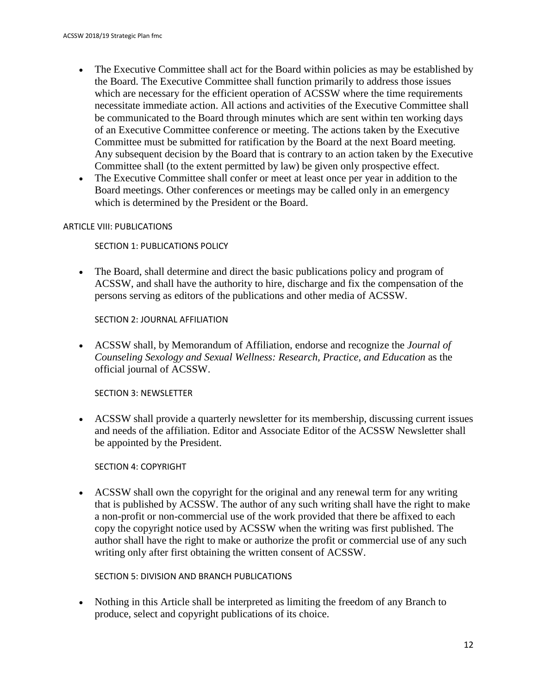- The Executive Committee shall act for the Board within policies as may be established by the Board. The Executive Committee shall function primarily to address those issues which are necessary for the efficient operation of ACSSW where the time requirements necessitate immediate action. All actions and activities of the Executive Committee shall be communicated to the Board through minutes which are sent within ten working days of an Executive Committee conference or meeting. The actions taken by the Executive Committee must be submitted for ratification by the Board at the next Board meeting. Any subsequent decision by the Board that is contrary to an action taken by the Executive Committee shall (to the extent permitted by law) be given only prospective effect.
- The Executive Committee shall confer or meet at least once per year in addition to the Board meetings. Other conferences or meetings may be called only in an emergency which is determined by the President or the Board.

#### ARTICLE VIII: PUBLICATIONS

SECTION 1: PUBLICATIONS POLICY

• The Board, shall determine and direct the basic publications policy and program of ACSSW, and shall have the authority to hire, discharge and fix the compensation of the persons serving as editors of the publications and other media of ACSSW.

SECTION 2: JOURNAL AFFILIATION

• ACSSW shall, by Memorandum of Affiliation, endorse and recognize the *Journal of Counseling Sexology and Sexual Wellness: Research, Practice, and Education* as the official journal of ACSSW.

SECTION 3: NEWSLETTER

• ACSSW shall provide a quarterly newsletter for its membership, discussing current issues and needs of the affiliation. Editor and Associate Editor of the ACSSW Newsletter shall be appointed by the President.

SECTION 4: COPYRIGHT

• ACSSW shall own the copyright for the original and any renewal term for any writing that is published by ACSSW. The author of any such writing shall have the right to make a non-profit or non-commercial use of the work provided that there be affixed to each copy the copyright notice used by ACSSW when the writing was first published. The author shall have the right to make or authorize the profit or commercial use of any such writing only after first obtaining the written consent of ACSSW.

SECTION 5: DIVISION AND BRANCH PUBLICATIONS

• Nothing in this Article shall be interpreted as limiting the freedom of any Branch to produce, select and copyright publications of its choice.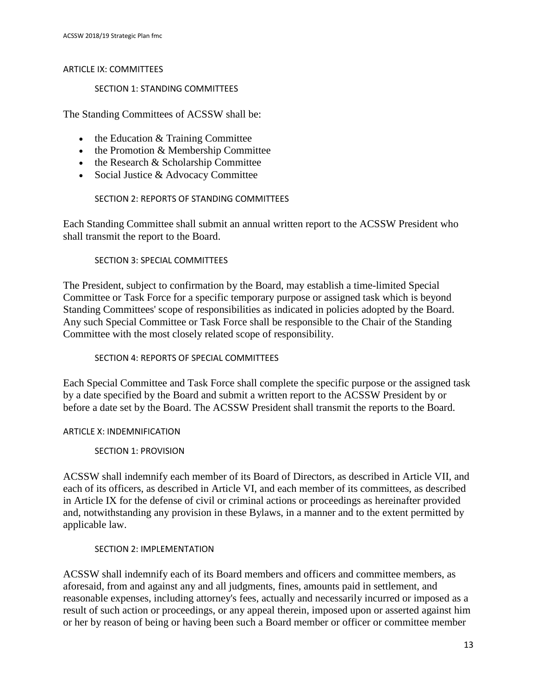#### ARTICLE IX: COMMITTEES

#### SECTION 1: STANDING COMMITTEES

The Standing Committees of ACSSW shall be:

- the Education & Training Committee
- the Promotion & Membership Committee
- the Research & Scholarship Committee
- Social Justice & Advocacy Committee

#### SECTION 2: REPORTS OF STANDING COMMITTEES

Each Standing Committee shall submit an annual written report to the ACSSW President who shall transmit the report to the Board.

#### SECTION 3: SPECIAL COMMITTEES

The President, subject to confirmation by the Board, may establish a time-limited Special Committee or Task Force for a specific temporary purpose or assigned task which is beyond Standing Committees' scope of responsibilities as indicated in policies adopted by the Board. Any such Special Committee or Task Force shall be responsible to the Chair of the Standing Committee with the most closely related scope of responsibility.

#### SECTION 4: REPORTS OF SPECIAL COMMITTEES

Each Special Committee and Task Force shall complete the specific purpose or the assigned task by a date specified by the Board and submit a written report to the ACSSW President by or before a date set by the Board. The ACSSW President shall transmit the reports to the Board.

#### ARTICLE X: INDEMNIFICATION

#### SECTION 1: PROVISION

ACSSW shall indemnify each member of its Board of Directors, as described in Article VII, and each of its officers, as described in Article VI, and each member of its committees, as described in Article IX for the defense of civil or criminal actions or proceedings as hereinafter provided and, notwithstanding any provision in these Bylaws, in a manner and to the extent permitted by applicable law.

#### SECTION 2: IMPLEMENTATION

ACSSW shall indemnify each of its Board members and officers and committee members, as aforesaid, from and against any and all judgments, fines, amounts paid in settlement, and reasonable expenses, including attorney's fees, actually and necessarily incurred or imposed as a result of such action or proceedings, or any appeal therein, imposed upon or asserted against him or her by reason of being or having been such a Board member or officer or committee member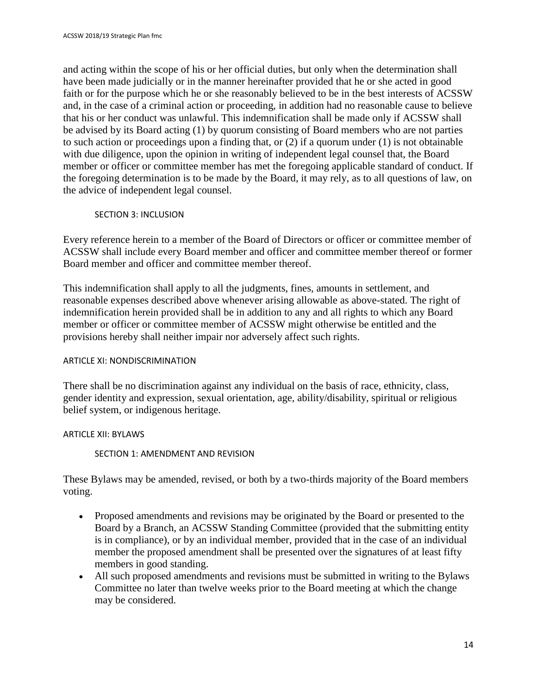and acting within the scope of his or her official duties, but only when the determination shall have been made judicially or in the manner hereinafter provided that he or she acted in good faith or for the purpose which he or she reasonably believed to be in the best interests of ACSSW and, in the case of a criminal action or proceeding, in addition had no reasonable cause to believe that his or her conduct was unlawful. This indemnification shall be made only if ACSSW shall be advised by its Board acting (1) by quorum consisting of Board members who are not parties to such action or proceedings upon a finding that, or (2) if a quorum under (1) is not obtainable with due diligence, upon the opinion in writing of independent legal counsel that, the Board member or officer or committee member has met the foregoing applicable standard of conduct. If the foregoing determination is to be made by the Board, it may rely, as to all questions of law, on the advice of independent legal counsel.

#### SECTION 3: INCLUSION

Every reference herein to a member of the Board of Directors or officer or committee member of ACSSW shall include every Board member and officer and committee member thereof or former Board member and officer and committee member thereof.

This indemnification shall apply to all the judgments, fines, amounts in settlement, and reasonable expenses described above whenever arising allowable as above-stated. The right of indemnification herein provided shall be in addition to any and all rights to which any Board member or officer or committee member of ACSSW might otherwise be entitled and the provisions hereby shall neither impair nor adversely affect such rights.

#### ARTICLE XI: NONDISCRIMINATION

There shall be no discrimination against any individual on the basis of race, ethnicity, class, gender identity and expression, sexual orientation, age, ability/disability, spiritual or religious belief system, or indigenous heritage.

#### ARTICLE XII: BYLAWS

#### SECTION 1: AMENDMENT AND REVISION

These Bylaws may be amended, revised, or both by a two-thirds majority of the Board members voting.

- Proposed amendments and revisions may be originated by the Board or presented to the Board by a Branch, an ACSSW Standing Committee (provided that the submitting entity is in compliance), or by an individual member, provided that in the case of an individual member the proposed amendment shall be presented over the signatures of at least fifty members in good standing.
- All such proposed amendments and revisions must be submitted in writing to the Bylaws Committee no later than twelve weeks prior to the Board meeting at which the change may be considered.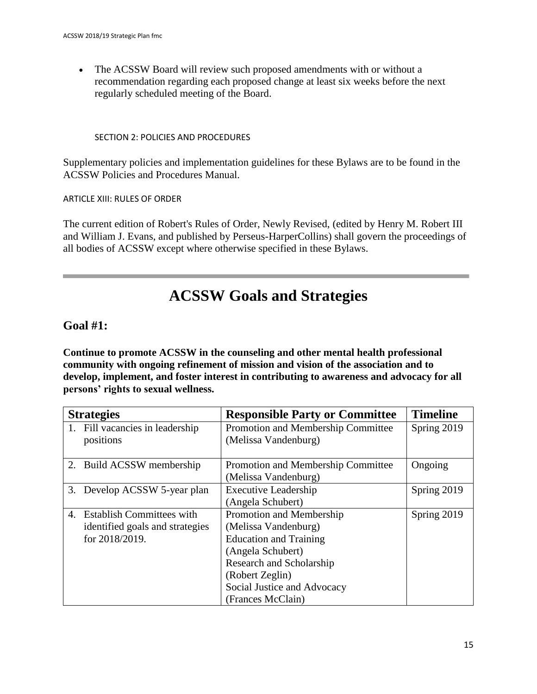• The ACSSW Board will review such proposed amendments with or without a recommendation regarding each proposed change at least six weeks before the next regularly scheduled meeting of the Board.

#### SECTION 2: POLICIES AND PROCEDURES

Supplementary policies and implementation guidelines for these Bylaws are to be found in the ACSSW Policies and Procedures Manual.

ARTICLE XIII: RULES OF ORDER

The current edition of Robert's Rules of Order, Newly Revised, (edited by Henry M. Robert III and William J. Evans, and published by Perseus-HarperCollins) shall govern the proceedings of all bodies of ACSSW except where otherwise specified in these Bylaws.

## **ACSSW Goals and Strategies**

#### **Goal #1:**

**Continue to promote ACSSW in the counseling and other mental health professional community with ongoing refinement of mission and vision of the association and to develop, implement, and foster interest in contributing to awareness and advocacy for all persons' rights to sexual wellness.**

| <b>Strategies</b> |                                                                                   | <b>Responsible Party or Committee</b>                                                                                                                                                                     | <b>Timeline</b> |
|-------------------|-----------------------------------------------------------------------------------|-----------------------------------------------------------------------------------------------------------------------------------------------------------------------------------------------------------|-----------------|
|                   | 1. Fill vacancies in leadership<br>positions                                      | Promotion and Membership Committee<br>(Melissa Vandenburg)                                                                                                                                                | Spring 2019     |
|                   | 2. Build ACSSW membership                                                         | Promotion and Membership Committee<br>(Melissa Vandenburg)                                                                                                                                                | Ongoing         |
|                   | 3. Develop ACSSW 5-year plan                                                      | <b>Executive Leadership</b><br>(Angela Schubert)                                                                                                                                                          | Spring 2019     |
|                   | 4. Establish Committees with<br>identified goals and strategies<br>for 2018/2019. | Promotion and Membership<br>(Melissa Vandenburg)<br><b>Education and Training</b><br>(Angela Schubert)<br>Research and Scholarship<br>(Robert Zeglin)<br>Social Justice and Advocacy<br>(Frances McClain) | Spring 2019     |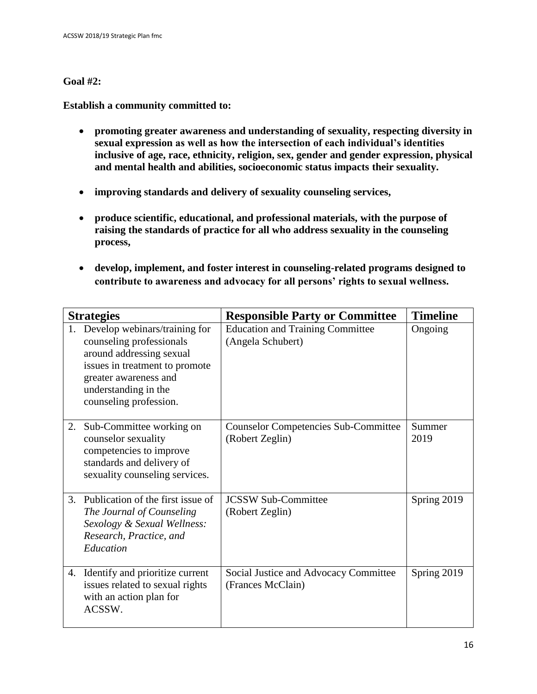#### **Goal #2:**

**Establish a community committed to:** 

- **promoting greater awareness and understanding of sexuality, respecting diversity in sexual expression as well as how the intersection of each individual's identities inclusive of age, race, ethnicity, religion, sex, gender and gender expression, physical and mental health and abilities, socioeconomic status impacts their sexuality.**
- **improving standards and delivery of sexuality counseling services,**
- **produce scientific, educational, and professional materials, with the purpose of raising the standards of practice for all who address sexuality in the counseling process,**
- **develop, implement, and foster interest in counseling-related programs designed to contribute to awareness and advocacy for all persons' rights to sexual wellness.**

| <b>Strategies</b> |                                                                                                                                                                                                    | <b>Responsible Party or Committee</b>                          | <b>Timeline</b> |
|-------------------|----------------------------------------------------------------------------------------------------------------------------------------------------------------------------------------------------|----------------------------------------------------------------|-----------------|
| 1.                | Develop webinars/training for<br>counseling professionals<br>around addressing sexual<br>issues in treatment to promote<br>greater awareness and<br>understanding in the<br>counseling profession. | <b>Education and Training Committee</b><br>(Angela Schubert)   | Ongoing         |
| 2.                | Sub-Committee working on<br>counselor sexuality<br>competencies to improve<br>standards and delivery of<br>sexuality counseling services.                                                          | <b>Counselor Competencies Sub-Committee</b><br>(Robert Zeglin) | Summer<br>2019  |
| 3.                | Publication of the first issue of<br>The Journal of Counseling<br>Sexology & Sexual Wellness:<br>Research, Practice, and<br>Education                                                              | <b>JCSSW Sub-Committee</b><br>(Robert Zeglin)                  | Spring 2019     |
| 4.                | Identify and prioritize current<br>issues related to sexual rights<br>with an action plan for<br>ACSSW.                                                                                            | Social Justice and Advocacy Committee<br>(Frances McClain)     | Spring 2019     |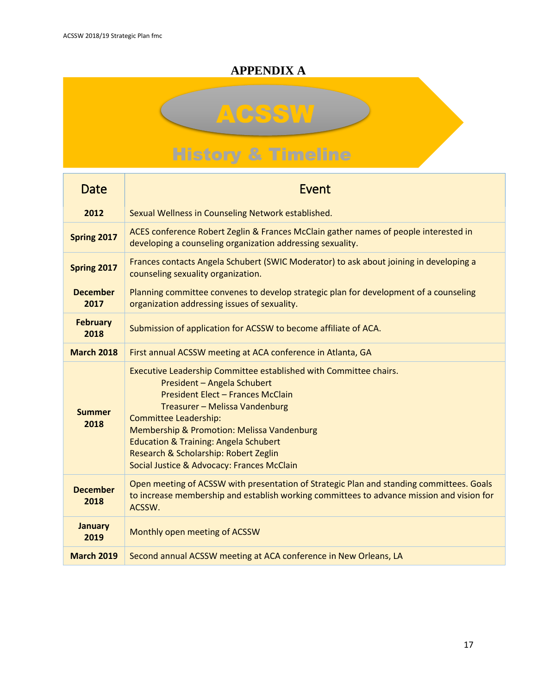## **APPENDIX A**

# **ACSSW History & Timeline**

| <b>Date</b>             | Event                                                                                                                                                                                                                                                                                                                                                                                            |  |  |
|-------------------------|--------------------------------------------------------------------------------------------------------------------------------------------------------------------------------------------------------------------------------------------------------------------------------------------------------------------------------------------------------------------------------------------------|--|--|
| 2012                    | Sexual Wellness in Counseling Network established.                                                                                                                                                                                                                                                                                                                                               |  |  |
| Spring 2017             | ACES conference Robert Zeglin & Frances McClain gather names of people interested in<br>developing a counseling organization addressing sexuality.                                                                                                                                                                                                                                               |  |  |
| Spring 2017             | Frances contacts Angela Schubert (SWIC Moderator) to ask about joining in developing a<br>counseling sexuality organization.                                                                                                                                                                                                                                                                     |  |  |
| <b>December</b><br>2017 | Planning committee convenes to develop strategic plan for development of a counseling<br>organization addressing issues of sexuality.                                                                                                                                                                                                                                                            |  |  |
| <b>February</b><br>2018 | Submission of application for ACSSW to become affiliate of ACA.                                                                                                                                                                                                                                                                                                                                  |  |  |
| <b>March 2018</b>       | First annual ACSSW meeting at ACA conference in Atlanta, GA                                                                                                                                                                                                                                                                                                                                      |  |  |
| <b>Summer</b><br>2018   | Executive Leadership Committee established with Committee chairs.<br>President - Angela Schubert<br>President Elect - Frances McClain<br>Treasurer - Melissa Vandenburg<br><b>Committee Leadership:</b><br>Membership & Promotion: Melissa Vandenburg<br><b>Education &amp; Training: Angela Schubert</b><br>Research & Scholarship: Robert Zeglin<br>Social Justice & Advocacy: Frances McClain |  |  |
| <b>December</b><br>2018 | Open meeting of ACSSW with presentation of Strategic Plan and standing committees. Goals<br>to increase membership and establish working committees to advance mission and vision for<br>ACSSW.                                                                                                                                                                                                  |  |  |
| <b>January</b><br>2019  | Monthly open meeting of ACSSW                                                                                                                                                                                                                                                                                                                                                                    |  |  |
| <b>March 2019</b>       | Second annual ACSSW meeting at ACA conference in New Orleans, LA                                                                                                                                                                                                                                                                                                                                 |  |  |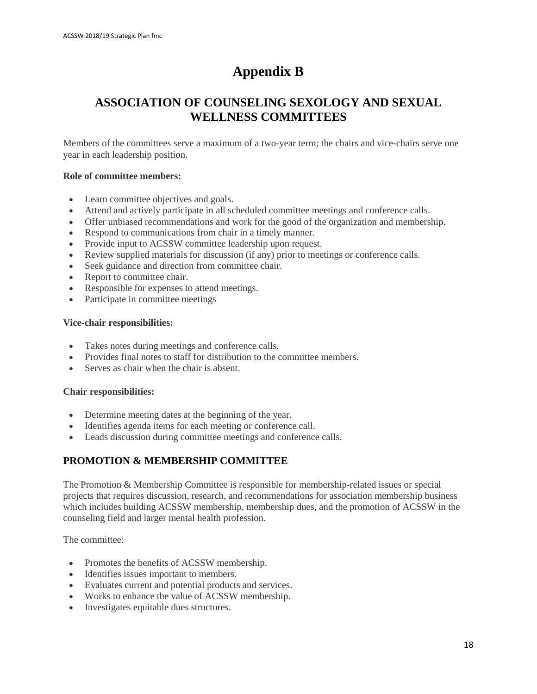## **Appendix B**

## **ASSOCIATION OF COUNSELING SEXOLOGY AND SEXUAL WELLNESS COMMITTEES**

Members of the committees serve a maximum of a two-year term; the chairs and vice-chairs serve one year in each leadership position.

#### **Role of committee members:**

- Learn committee objectives and goals.
- Attend and actively participate in all scheduled committee meetings and conference calls.
- Offer unbiased recommendations and work for the good of the organization and membership.
- Respond to communications from chair in a timely manner.
- Provide input to ACSSW committee leadership upon request.
- Review supplied materials for discussion (if any) prior to meetings or conference calls.
- Seek guidance and direction from committee chair.
- Report to committee chair.
- Responsible for expenses to attend meetings.
- Participate in committee meetings

#### **Vice-chair responsibilities:**

- Takes notes during meetings and conference calls.
- Provides final notes to staff for distribution to the committee members.
- Serves as chair when the chair is absent.

#### **Chair responsibilities:**

- Determine meeting dates at the beginning of the year.
- Identifies agenda items for each meeting or conference call.
- Leads discussion during committee meetings and conference calls.

#### **PROMOTION & MEMBERSHIP COMMITTEE**

The Promotion & Membership Committee is responsible for membership-related issues or special projects that requires discussion, research, and recommendations for association membership business which includes building ACSSW membership, membership dues, and the promotion of ACSSW in the counseling field and larger mental health profession.

The committee:

- Promotes the benefits of ACSSW membership.
- Identifies issues important to members.
- Evaluates current and potential products and services.
- Works to enhance the value of ACSSW membership.
- Investigates equitable dues structures.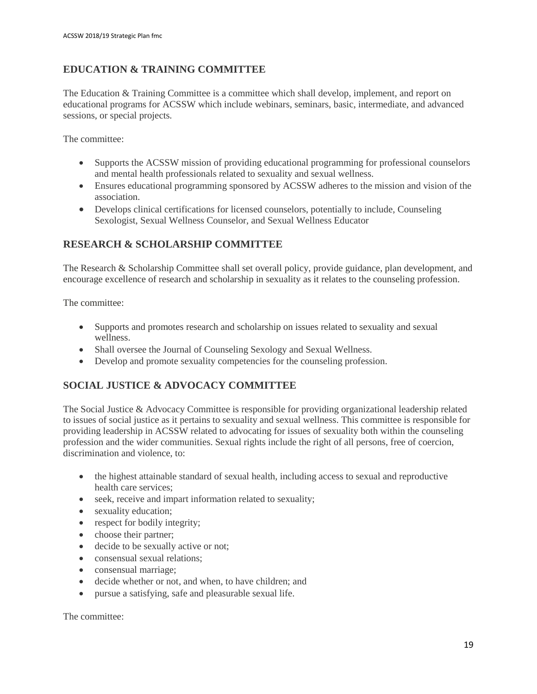#### **EDUCATION & TRAINING COMMITTEE**

The Education & Training Committee is a committee which shall develop, implement, and report on educational programs for ACSSW which include webinars, seminars, basic, intermediate, and advanced sessions, or special projects.

The committee:

- Supports the ACSSW mission of providing educational programming for professional counselors and mental health professionals related to sexuality and sexual wellness.
- Ensures educational programming sponsored by ACSSW adheres to the mission and vision of the association.
- Develops clinical certifications for licensed counselors, potentially to include, Counseling Sexologist, Sexual Wellness Counselor, and Sexual Wellness Educator

#### **RESEARCH & SCHOLARSHIP COMMITTEE**

The Research & Scholarship Committee shall set overall policy, provide guidance, plan development, and encourage excellence of research and scholarship in sexuality as it relates to the counseling profession.

The committee:

- Supports and promotes research and scholarship on issues related to sexuality and sexual wellness.
- Shall oversee the Journal of Counseling Sexology and Sexual Wellness.
- Develop and promote sexuality competencies for the counseling profession.

#### **SOCIAL JUSTICE & ADVOCACY COMMITTEE**

The Social Justice & Advocacy Committee is responsible for providing organizational leadership related to issues of social justice as it pertains to sexuality and sexual wellness. This committee is responsible for providing leadership in ACSSW related to advocating for issues of sexuality both within the counseling profession and the wider communities. Sexual rights include the right of all persons, free of coercion, discrimination and violence, to:

- the highest attainable standard of sexual health, including access to sexual and reproductive health care services;
- seek, receive and impart information related to sexuality;
- sexuality education;
- respect for bodily integrity;
- choose their partner;
- decide to be sexually active or not;
- consensual sexual relations:
- consensual marriage;
- decide whether or not, and when, to have children; and
- pursue a satisfying, safe and pleasurable sexual life.

The committee: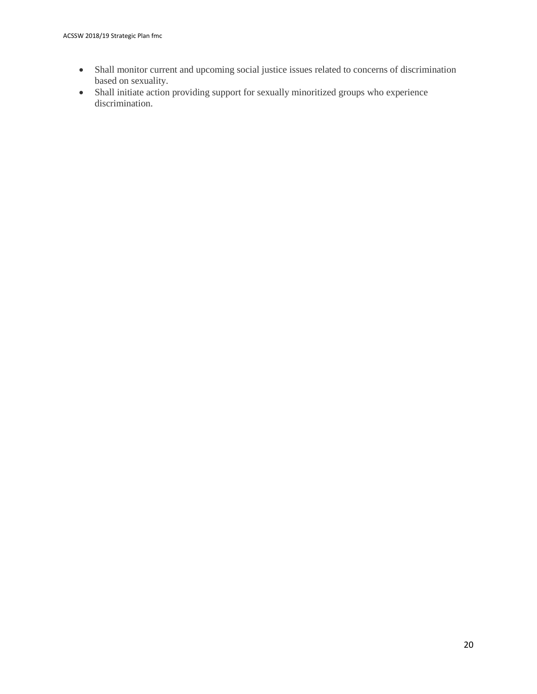- Shall monitor current and upcoming social justice issues related to concerns of discrimination based on sexuality.
- Shall initiate action providing support for sexually minoritized groups who experience discrimination.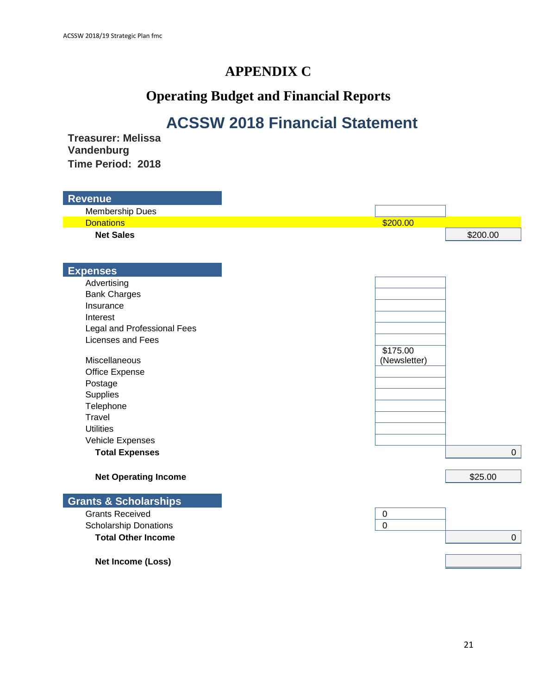## **APPENDIX C**

# **Operating Budget and Financial Reports**

# **ACSSW 2018 Financial Statement**

**Treasurer: Melissa Vandenburg Time Period: 2018**

| <b>Revenue</b>                   |                |                  |
|----------------------------------|----------------|------------------|
| Membership Dues                  |                |                  |
| <b>Donations</b>                 | \$200.00       |                  |
| <b>Net Sales</b>                 |                | \$200.00         |
|                                  |                |                  |
|                                  |                |                  |
| <b>Expenses</b>                  |                |                  |
| Advertising                      |                |                  |
| <b>Bank Charges</b>              |                |                  |
| Insurance                        |                |                  |
| Interest                         |                |                  |
| Legal and Professional Fees      |                |                  |
| Licenses and Fees                |                |                  |
|                                  | \$175.00       |                  |
| <b>Miscellaneous</b>             | (Newsletter)   |                  |
| Office Expense                   |                |                  |
| Postage                          |                |                  |
| Supplies                         |                |                  |
| Telephone                        |                |                  |
| Travel                           |                |                  |
| <b>Utilities</b>                 |                |                  |
| Vehicle Expenses                 |                |                  |
| <b>Total Expenses</b>            |                | $\overline{0}$   |
| <b>Net Operating Income</b>      |                | \$25.00          |
| <b>Grants &amp; Scholarships</b> |                |                  |
| <b>Grants Received</b>           | $\mathbf 0$    |                  |
| <b>Scholarship Donations</b>     | $\overline{0}$ |                  |
| <b>Total Other Income</b>        |                | $\boldsymbol{0}$ |
|                                  |                |                  |
| Net Income (Loss)                |                |                  |